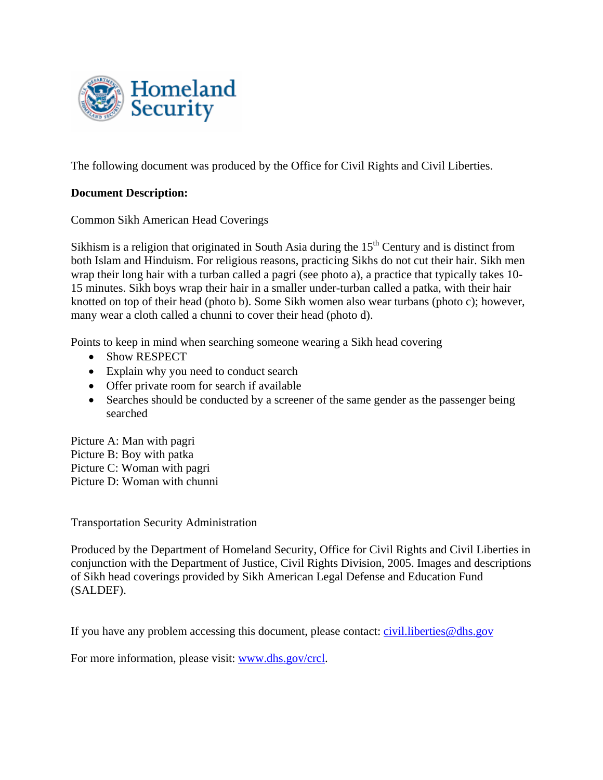

The following document was produced by the Office for Civil Rights and Civil Liberties.

## **Document Description:**

Common Sikh American Head Coverings

Sikhism is a religion that originated in South Asia during the  $15<sup>th</sup>$  Century and is distinct from both Islam and Hinduism. For religious reasons, practicing Sikhs do not cut their hair. Sikh men wrap their long hair with a turban called a pagri (see photo a), a practice that typically takes 10- 15 minutes. Sikh boys wrap their hair in a smaller under-turban called a patka, with their hair knotted on top of their head (photo b). Some Sikh women also wear turbans (photo c); however, many wear a cloth called a chunni to cover their head (photo d).

Points to keep in mind when searching someone wearing a Sikh head covering

- Show RESPECT
- Explain why you need to conduct search
- Offer private room for search if available
- Searches should be conducted by a screener of the same gender as the passenger being searched

Picture A: Man with pagri Picture B: Boy with patka Picture C: Woman with pagri Picture D: Woman with chunni

Transportation Security Administration

Produced by the Department of Homeland Security, Office for Civil Rights and Civil Liberties in conjunction with the Department of Justice, Civil Rights Division, 2005. Images and descriptions of Sikh head coverings provided by Sikh American Legal Defense and Education Fund (SALDEF).

If you have any problem accessing this document, please contact: [civil.liberties@dhs.gov](mailto:civil.liberties@dhs.gov)

For more information, please visit: [www.dhs.gov/crcl](http://www.dhs.gov/crcl).